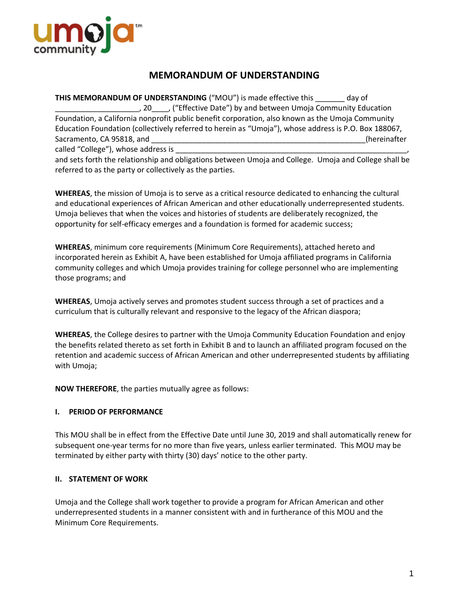

# **MEMORANDUM OF UNDERSTANDING**

**THIS MEMORANDUM OF UNDERSTANDING** ("MOU") is made effective this day of \_\_\_\_\_\_\_\_\_\_\_\_\_\_\_\_\_\_\_\_, 20\_\_\_\_, ("Effective Date") by and between Umoja Community Education Foundation, a California nonprofit public benefit corporation, also known as the Umoja Community Education Foundation (collectively referred to herein as "Umoja"), whose address is P.O. Box 188067, Sacramento, CA 95818, and **Exercise 2. Exercise 2. Alternative** CA extendition and the contractors of the contractors of the contractors of the contractors of the contractors of the contractors of the contractors of the co called "College"), whose address is

and sets forth the relationship and obligations between Umoja and College. Umoja and College shall be referred to as the party or collectively as the parties.

**WHEREAS**, the mission of Umoja is to serve as a critical resource dedicated to enhancing the cultural and educational experiences of African American and other educationally underrepresented students. Umoja believes that when the voices and histories of students are deliberately recognized, the opportunity for self-efficacy emerges and a foundation is formed for academic success;

**WHEREAS**, minimum core requirements (Minimum Core Requirements), attached hereto and incorporated herein as Exhibit A, have been established for Umoja affiliated programs in California community colleges and which Umoja provides training for college personnel who are implementing those programs; and

**WHEREAS**, Umoja actively serves and promotes student success through a set of practices and a curriculum that is culturally relevant and responsive to the legacy of the African diaspora;

**WHEREAS**, the College desires to partner with the Umoja Community Education Foundation and enjoy the benefits related thereto as set forth in Exhibit B and to launch an affiliated program focused on the retention and academic success of African American and other underrepresented students by affiliating with Umoja;

**NOW THEREFORE**, the parties mutually agree as follows:

# **I. PERIOD OF PERFORMANCE**

This MOU shall be in effect from the Effective Date until June 30, 2019 and shall automatically renew for subsequent one-year terms for no more than five years, unless earlier terminated. This MOU may be terminated by either party with thirty (30) days' notice to the other party.

# **II. STATEMENT OF WORK**

Umoja and the College shall work together to provide a program for African American and other underrepresented students in a manner consistent with and in furtherance of this MOU and the Minimum Core Requirements.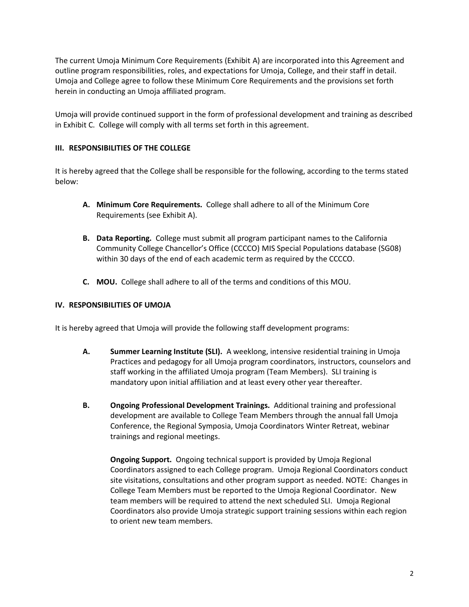The current Umoja Minimum Core Requirements (Exhibit A) are incorporated into this Agreement and outline program responsibilities, roles, and expectations for Umoja, College, and their staff in detail. Umoja and College agree to follow these Minimum Core Requirements and the provisions set forth herein in conducting an Umoja affiliated program.

Umoja will provide continued support in the form of professional development and training as described in Exhibit C. College will comply with all terms set forth in this agreement.

# **III. RESPONSIBILITIES OF THE COLLEGE**

It is hereby agreed that the College shall be responsible for the following, according to the terms stated below:

- **A. Minimum Core Requirements.** College shall adhere to all of the Minimum Core Requirements (see Exhibit A).
- **B. Data Reporting.** College must submit all program participant names to the California Community College Chancellor's Office (CCCCO) MIS Special Populations database (SG08) within 30 days of the end of each academic term as required by the CCCCO.
- **C. MOU.** College shall adhere to all of the terms and conditions of this MOU.

# **IV. RESPONSIBILITIES OF UMOJA**

It is hereby agreed that Umoja will provide the following staff development programs:

- **A. Summer Learning Institute (SLI).** A weeklong, intensive residential training in Umoja Practices and pedagogy for all Umoja program coordinators, instructors, counselors and staff working in the affiliated Umoja program (Team Members). SLI training is mandatory upon initial affiliation and at least every other year thereafter.
- **B. Ongoing Professional Development Trainings.** Additional training and professional development are available to College Team Members through the annual fall Umoja Conference, the Regional Symposia, Umoja Coordinators Winter Retreat, webinar trainings and regional meetings.

**Ongoing Support.** Ongoing technical support is provided by Umoja Regional Coordinators assigned to each College program. Umoja Regional Coordinators conduct site visitations, consultations and other program support as needed. NOTE: Changes in College Team Members must be reported to the Umoja Regional Coordinator. New team members will be required to attend the next scheduled SLI. Umoja Regional Coordinators also provide Umoja strategic support training sessions within each region to orient new team members.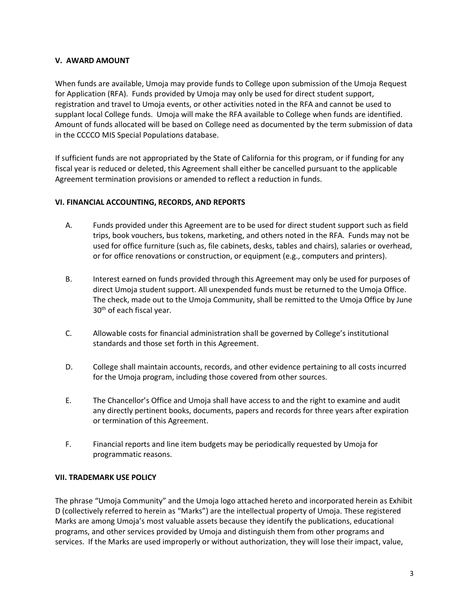# **V. AWARD AMOUNT**

When funds are available, Umoja may provide funds to College upon submission of the Umoja Request for Application (RFA). Funds provided by Umoja may only be used for direct student support, registration and travel to Umoja events, or other activities noted in the RFA and cannot be used to supplant local College funds. Umoja will make the RFA available to College when funds are identified. Amount of funds allocated will be based on College need as documented by the term submission of data in the CCCCO MIS Special Populations database.

If sufficient funds are not appropriated by the State of California for this program, or if funding for any fiscal year is reduced or deleted, this Agreement shall either be cancelled pursuant to the applicable Agreement termination provisions or amended to reflect a reduction in funds.

# **VI. FINANCIAL ACCOUNTING, RECORDS, AND REPORTS**

- A. Funds provided under this Agreement are to be used for direct student support such as field trips, book vouchers, bus tokens, marketing, and others noted in the RFA. Funds may not be used for office furniture (such as, file cabinets, desks, tables and chairs), salaries or overhead, or for office renovations or construction, or equipment (e.g., computers and printers).
- B. Interest earned on funds provided through this Agreement may only be used for purposes of direct Umoja student support. All unexpended funds must be returned to the Umoja Office. The check, made out to the Umoja Community, shall be remitted to the Umoja Office by June 30th of each fiscal year.
- C. Allowable costs for financial administration shall be governed by College's institutional standards and those set forth in this Agreement.
- D. College shall maintain accounts, records, and other evidence pertaining to all costs incurred for the Umoja program, including those covered from other sources.
- E. The Chancellor's Office and Umoja shall have access to and the right to examine and audit any directly pertinent books, documents, papers and records for three years after expiration or termination of this Agreement.
- F. Financial reports and line item budgets may be periodically requested by Umoja for programmatic reasons.

# **VII. TRADEMARK USE POLICY**

The phrase "Umoja Community" and the Umoja logo attached hereto and incorporated herein as Exhibit D (collectively referred to herein as "Marks") are the intellectual property of Umoja. These registered Marks are among Umoja's most valuable assets because they identify the publications, educational programs, and other services provided by Umoja and distinguish them from other programs and services. If the Marks are used improperly or without authorization, they will lose their impact, value,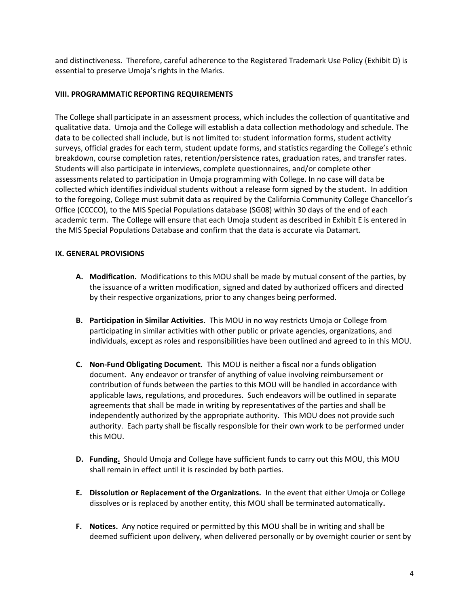and distinctiveness. Therefore, careful adherence to the Registered Trademark Use Policy (Exhibit D) is essential to preserve Umoja's rights in the Marks.

# **VIII. PROGRAMMATIC REPORTING REQUIREMENTS**

The College shall participate in an assessment process, which includes the collection of quantitative and qualitative data. Umoja and the College will establish a data collection methodology and schedule. The data to be collected shall include, but is not limited to: student information forms, student activity surveys, official grades for each term, student update forms, and statistics regarding the College's ethnic breakdown, course completion rates, retention/persistence rates, graduation rates, and transfer rates. Students will also participate in interviews, complete questionnaires, and/or complete other assessments related to participation in Umoja programming with College. In no case will data be collected which identifies individual students without a release form signed by the student. In addition to the foregoing, College must submit data as required by the California Community College Chancellor's Office (CCCCO), to the MIS Special Populations database (SG08) within 30 days of the end of each academic term. The College will ensure that each Umoja student as described in Exhibit E is entered in the MIS Special Populations Database and confirm that the data is accurate via Datamart.

# **IX. GENERAL PROVISIONS**

- **A. Modification.** Modifications to this MOU shall be made by mutual consent of the parties, by the issuance of a written modification, signed and dated by authorized officers and directed by their respective organizations, prior to any changes being performed.
- **B. Participation in Similar Activities.** This MOU in no way restricts Umoja or College from participating in similar activities with other public or private agencies, organizations, and individuals, except as roles and responsibilities have been outlined and agreed to in this MOU.
- **C. Non-Fund Obligating Document.** This MOU is neither a fiscal nor a funds obligation document. Any endeavor or transfer of anything of value involving reimbursement or contribution of funds between the parties to this MOU will be handled in accordance with applicable laws, regulations, and procedures. Such endeavors will be outlined in separate agreements that shall be made in writing by representatives of the parties and shall be independently authorized by the appropriate authority. This MOU does not provide such authority. Each party shall be fiscally responsible for their own work to be performed under this MOU.
- **D. Funding.** Should Umoja and College have sufficient funds to carry out this MOU, this MOU shall remain in effect until it is rescinded by both parties.
- **E. Dissolution or Replacement of the Organizations.** In the event that either Umoja or College dissolves or is replaced by another entity, this MOU shall be terminated automatically**.**
- **F. Notices.** Any notice required or permitted by this MOU shall be in writing and shall be deemed sufficient upon delivery, when delivered personally or by overnight courier or sent by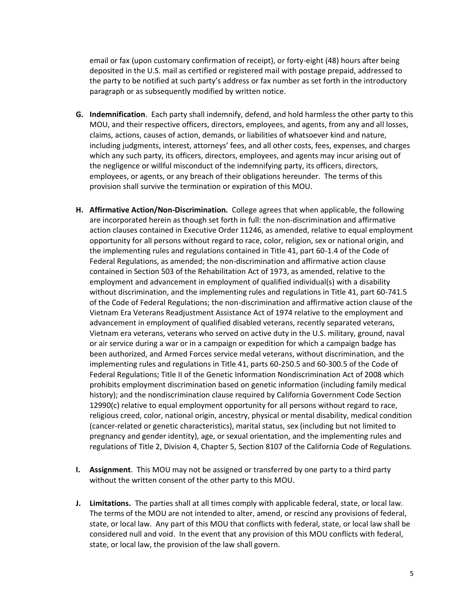email or fax (upon customary confirmation of receipt), or forty-eight (48) hours after being deposited in the U.S. mail as certified or registered mail with postage prepaid, addressed to the party to be notified at such party's address or fax number as set forth in the introductory paragraph or as subsequently modified by written notice.

- **G. Indemnification**. Each party shall indemnify, defend, and hold harmless the other party to this MOU, and their respective officers, directors, employees, and agents, from any and all losses, claims, actions, causes of action, demands, or liabilities of whatsoever kind and nature, including judgments, interest, attorneys' fees, and all other costs, fees, expenses, and charges which any such party, its officers, directors, employees, and agents may incur arising out of the negligence or willful misconduct of the indemnifying party, its officers, directors, employees, or agents, or any breach of their obligations hereunder. The terms of this provision shall survive the termination or expiration of this MOU.
- **H. Affirmative Action/Non-Discrimination.** College agrees that when applicable, the following are incorporated herein as though set forth in full: the non-discrimination and affirmative action clauses contained in Executive Order 11246, as amended, relative to equal employment opportunity for all persons without regard to race, color, religion, sex or national origin, and the implementing rules and regulations contained in Title 41, part 60-1.4 of the Code of Federal Regulations, as amended; the non-discrimination and affirmative action clause contained in Section 503 of the Rehabilitation Act of 1973, as amended, relative to the employment and advancement in employment of qualified individual(s) with a disability without discrimination, and the implementing rules and regulations in Title 41, part 60-741.5 of the Code of Federal Regulations; the non-discrimination and affirmative action clause of the Vietnam Era Veterans Readjustment Assistance Act of 1974 relative to the employment and advancement in employment of qualified disabled veterans, recently separated veterans, Vietnam era veterans, veterans who served on active duty in the U.S. military, ground, naval or air service during a war or in a campaign or expedition for which a campaign badge has been authorized, and Armed Forces service medal veterans, without discrimination, and the implementing rules and regulations in Title 41, parts 60-250.5 and 60-300.5 of the Code of Federal Regulations; Title II of the Genetic Information Nondiscrimination Act of 2008 which prohibits employment discrimination based on genetic information (including family medical history); and the nondiscrimination clause required by California Government Code Section 12990(c) relative to equal employment opportunity for all persons without regard to race, religious creed, color, national origin, ancestry, physical or mental disability, medical condition (cancer-related or genetic characteristics), marital status, sex (including but not limited to pregnancy and gender identity), age, or sexual orientation, and the implementing rules and regulations of Title 2, Division 4, Chapter 5, Section 8107 of the California Code of Regulations.
- **I. Assignment**. This MOU may not be assigned or transferred by one party to a third party without the written consent of the other party to this MOU.
- **J. Limitations.** The parties shall at all times comply with applicable federal, state, or local law. The terms of the MOU are not intended to alter, amend, or rescind any provisions of federal, state, or local law. Any part of this MOU that conflicts with federal, state, or local law shall be considered null and void. In the event that any provision of this MOU conflicts with federal, state, or local law, the provision of the law shall govern.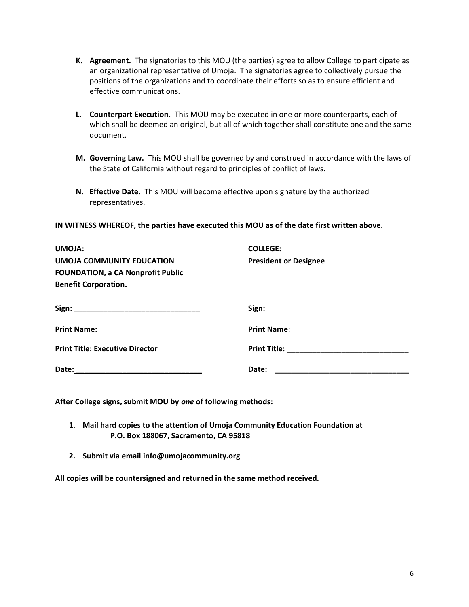- **K. Agreement.** The signatories to this MOU (the parties) agree to allow College to participate as an organizational representative of Umoja. The signatories agree to collectively pursue the positions of the organizations and to coordinate their efforts so as to ensure efficient and effective communications.
- **L. Counterpart Execution.** This MOU may be executed in one or more counterparts, each of which shall be deemed an original, but all of which together shall constitute one and the same document.
- **M. Governing Law.** This MOU shall be governed by and construed in accordance with the laws of the State of California without regard to principles of conflict of laws.
- **N. Effective Date.** This MOU will become effective upon signature by the authorized representatives.

**IN WITNESS WHEREOF, the parties have executed this MOU as of the date first written above.**

| <b>UMOJA:</b>                            | <b>COLLEGE:</b>                                             |
|------------------------------------------|-------------------------------------------------------------|
| <b>UMOJA COMMUNITY EDUCATION</b>         | <b>President or Designee</b>                                |
| <b>FOUNDATION, a CA Nonprofit Public</b> |                                                             |
| <b>Benefit Corporation.</b>              |                                                             |
|                                          |                                                             |
|                                          |                                                             |
| <b>Print Title: Executive Director</b>   |                                                             |
|                                          | Date:<br><u> 1989 - Johann John Harry Hermann (f. 1989)</u> |

**After College signs, submit MOU by** *one* **of following methods:**

- **1. Mail hard copies to the attention of Umoja Community Education Foundation at P.O. Box 188067, Sacramento, CA 95818**
- **2. Submit via email info@umojacommunity.org**

**All copies will be countersigned and returned in the same method received.**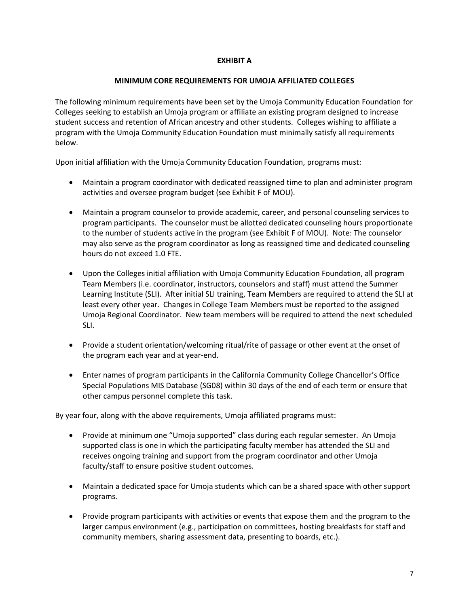# **EXHIBIT A**

# **MINIMUM CORE REQUIREMENTS FOR UMOJA AFFILIATED COLLEGES**

The following minimum requirements have been set by the Umoja Community Education Foundation for Colleges seeking to establish an Umoja program or affiliate an existing program designed to increase student success and retention of African ancestry and other students. Colleges wishing to affiliate a program with the Umoja Community Education Foundation must minimally satisfy all requirements below.

Upon initial affiliation with the Umoja Community Education Foundation, programs must:

- Maintain a program coordinator with dedicated reassigned time to plan and administer program activities and oversee program budget (see Exhibit F of MOU).
- Maintain a program counselor to provide academic, career, and personal counseling services to program participants. The counselor must be allotted dedicated counseling hours proportionate to the number of students active in the program (see Exhibit F of MOU). Note: The counselor may also serve as the program coordinator as long as reassigned time and dedicated counseling hours do not exceed 1.0 FTE.
- Upon the Colleges initial affiliation with Umoja Community Education Foundation, all program Team Members (i.e. coordinator, instructors, counselors and staff) must attend the Summer Learning Institute (SLI). After initial SLI training, Team Members are required to attend the SLI at least every other year. Changes in College Team Members must be reported to the assigned Umoja Regional Coordinator. New team members will be required to attend the next scheduled SLI.
- Provide a student orientation/welcoming ritual/rite of passage or other event at the onset of the program each year and at year-end.
- Enter names of program participants in the California Community College Chancellor's Office Special Populations MIS Database (SG08) within 30 days of the end of each term or ensure that other campus personnel complete this task.

By year four, along with the above requirements, Umoja affiliated programs must:

- Provide at minimum one "Umoja supported" class during each regular semester. An Umoja supported class is one in which the participating faculty member has attended the SLI and receives ongoing training and support from the program coordinator and other Umoja faculty/staff to ensure positive student outcomes.
- Maintain a dedicated space for Umoja students which can be a shared space with other support programs.
- Provide program participants with activities or events that expose them and the program to the larger campus environment (e.g., participation on committees, hosting breakfasts for staff and community members, sharing assessment data, presenting to boards, etc.).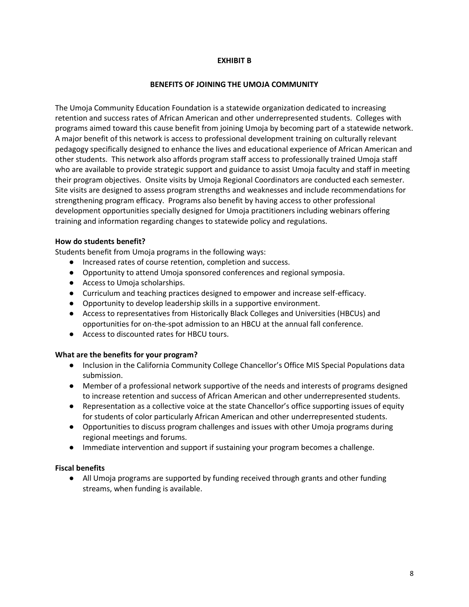# **EXHIBIT B**

#### **BENEFITS OF JOINING THE UMOJA COMMUNITY**

The Umoja Community Education Foundation is a statewide organization dedicated to increasing retention and success rates of African American and other underrepresented students. Colleges with programs aimed toward this cause benefit from joining Umoja by becoming part of a statewide network. A major benefit of this network is access to professional development training on culturally relevant pedagogy specifically designed to enhance the lives and educational experience of African American and other students. This network also affords program staff access to professionally trained Umoja staff who are available to provide strategic support and guidance to assist Umoja faculty and staff in meeting their program objectives. Onsite visits by Umoja Regional Coordinators are conducted each semester. Site visits are designed to assess program strengths and weaknesses and include recommendations for strengthening program efficacy. Programs also benefit by having access to other professional development opportunities specially designed for Umoja practitioners including webinars offering training and information regarding changes to statewide policy and regulations.

#### **How do students benefit?**

Students benefit from Umoja programs in the following ways:

- Increased rates of course retention, completion and success.
- Opportunity to attend Umoja sponsored conferences and regional symposia.
- Access to Umoja scholarships.
- Curriculum and teaching practices designed to empower and increase self-efficacy.
- Opportunity to develop leadership skills in a supportive environment.
- Access to representatives from Historically Black Colleges and Universities (HBCUs) and opportunities for on-the-spot admission to an HBCU at the annual fall conference.
- Access to discounted rates for HBCU tours.

# **What are the benefits for your program?**

- Inclusion in the California Community College Chancellor's Office MIS Special Populations data submission.
- Member of a professional network supportive of the needs and interests of programs designed to increase retention and success of African American and other underrepresented students.
- Representation as a collective voice at the state Chancellor's office supporting issues of equity for students of color particularly African American and other underrepresented students.
- Opportunities to discuss program challenges and issues with other Umoja programs during regional meetings and forums.
- Immediate intervention and support if sustaining your program becomes a challenge.

# **Fiscal benefits**

● All Umoja programs are supported by funding received through grants and other funding streams, when funding is available.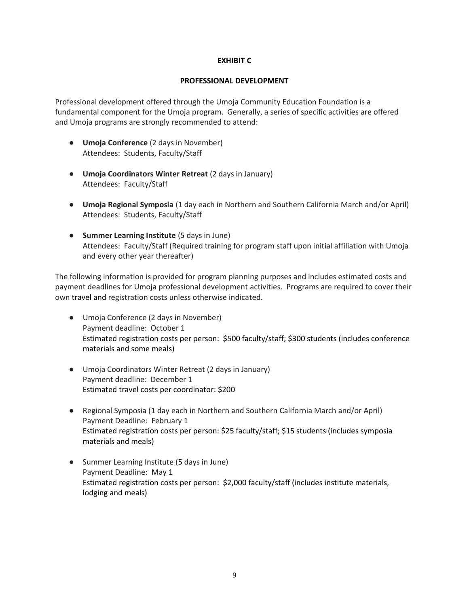# **EXHIBIT C**

#### **PROFESSIONAL DEVELOPMENT**

Professional development offered through the Umoja Community Education Foundation is a fundamental component for the Umoja program. Generally, a series of specific activities are offered and Umoja programs are strongly recommended to attend:

- **Umoja Conference** (2 days in November) Attendees: Students, Faculty/Staff
- **Umoja Coordinators Winter Retreat** (2 days in January) Attendees: Faculty/Staff
- **Umoja Regional Symposia** (1 day each in Northern and Southern California March and/or April) Attendees: Students, Faculty/Staff
- **Summer Learning Institute** (5 days in June) Attendees: Faculty/Staff (Required training for program staff upon initial affiliation with Umoja and every other year thereafter)

The following information is provided for program planning purposes and includes estimated costs and payment deadlines for Umoja professional development activities. Programs are required to cover their own travel and registration costs unless otherwise indicated.

- Umoja Conference (2 days in November) Payment deadline: October 1 Estimated registration costs per person: \$500 faculty/staff; \$300 students (includes conference materials and some meals)
- Umoja Coordinators Winter Retreat (2 days in January) Payment deadline: December 1 Estimated travel costs per coordinator: \$200
- Regional Symposia (1 day each in Northern and Southern California March and/or April) Payment Deadline: February 1 Estimated registration costs per person: \$25 faculty/staff; \$15 students (includes symposia materials and meals)
- Summer Learning Institute (5 days in June) Payment Deadline: May 1 Estimated registration costs per person: \$2,000 faculty/staff (includes institute materials, lodging and meals)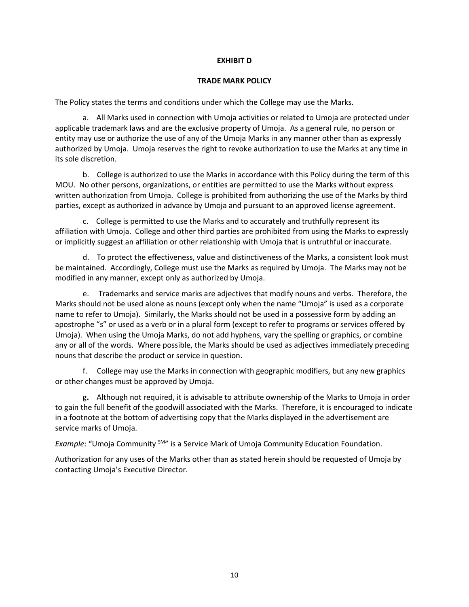# **EXHIBIT D**

#### **TRADE MARK POLICY**

The Policy states the terms and conditions under which the College may use the Marks.

 a. All Marks used in connection with Umoja activities or related to Umoja are protected under applicable trademark laws and are the exclusive property of Umoja. As a general rule, no person or entity may use or authorize the use of any of the Umoja Marks in any manner other than as expressly authorized by Umoja. Umoja reserves the right to revoke authorization to use the Marks at any time in its sole discretion.

 b. College is authorized to use the Marks in accordance with this Policy during the term of this MOU. No other persons, organizations, or entities are permitted to use the Marks without express written authorization from Umoja. College is prohibited from authorizing the use of the Marks by third parties, except as authorized in advance by Umoja and pursuant to an approved license agreement.

 c. College is permitted to use the Marks and to accurately and truthfully represent its affiliation with Umoja. College and other third parties are prohibited from using the Marks to expressly or implicitly suggest an affiliation or other relationship with Umoja that is untruthful or inaccurate.

 d. To protect the effectiveness, value and distinctiveness of the Marks, a consistent look must be maintained. Accordingly, College must use the Marks as required by Umoja. The Marks may not be modified in any manner, except only as authorized by Umoja.

e. Trademarks and service marks are adjectives that modify nouns and verbs. Therefore, the Marks should not be used alone as nouns (except only when the name "Umoja" is used as a corporate name to refer to Umoja). Similarly, the Marks should not be used in a possessive form by adding an apostrophe "s" or used as a verb or in a plural form (except to refer to programs or services offered by Umoja). When using the Umoja Marks, do not add hyphens, vary the spelling or graphics, or combine any or all of the words. Where possible, the Marks should be used as adjectives immediately preceding nouns that describe the product or service in question.

 f. College may use the Marks in connection with geographic modifiers, but any new graphics or other changes must be approved by Umoja.

 g**.** Although not required, it is advisable to attribute ownership of the Marks to Umoja in order to gain the full benefit of the goodwill associated with the Marks. Therefore, it is encouraged to indicate in a footnote at the bottom of advertising copy that the Marks displayed in the advertisement are service marks of Umoja.

**Example: "Umoja Community <sup>SM"</sup> is a Service Mark of Umoja Community Education Foundation.** 

Authorization for any uses of the Marks other than as stated herein should be requested of Umoja by contacting Umoja's Executive Director.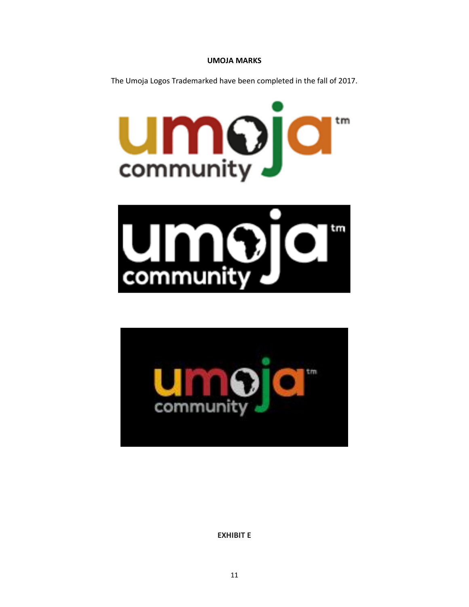# **UMOJA MARKS**

The Umoja Logos Trademarked have been completed in the fall of 2017.







**EXHIBIT E**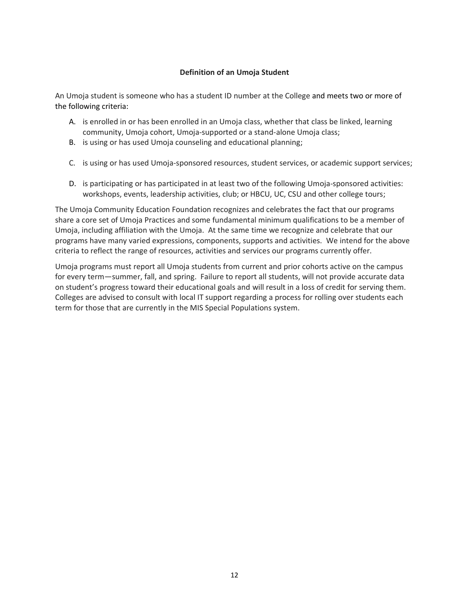# **Definition of an Umoja Student**

An Umoja student is someone who has a student ID number at the College and meets two or more of the following criteria:

- A. is enrolled in or has been enrolled in an Umoja class, whether that class be linked, learning community, Umoja cohort, Umoja-supported or a stand-alone Umoja class;
- B. is using or has used Umoja counseling and educational planning;
- C. is using or has used Umoja-sponsored resources, student services, or academic support services;
- D. is participating or has participated in at least two of the following Umoja-sponsored activities: workshops, events, leadership activities, club; or HBCU, UC, CSU and other college tours;

The Umoja Community Education Foundation recognizes and celebrates the fact that our programs share a core set of Umoja Practices and some fundamental minimum qualifications to be a member of Umoja, including affiliation with the Umoja. At the same time we recognize and celebrate that our programs have many varied expressions, components, supports and activities. We intend for the above criteria to reflect the range of resources, activities and services our programs currently offer.

Umoja programs must report all Umoja students from current and prior cohorts active on the campus for every term—summer, fall, and spring. Failure to report all students, will not provide accurate data on student's progress toward their educational goals and will result in a loss of credit for serving them. Colleges are advised to consult with local IT support regarding a process for rolling over students each term for those that are currently in the MIS Special Populations system.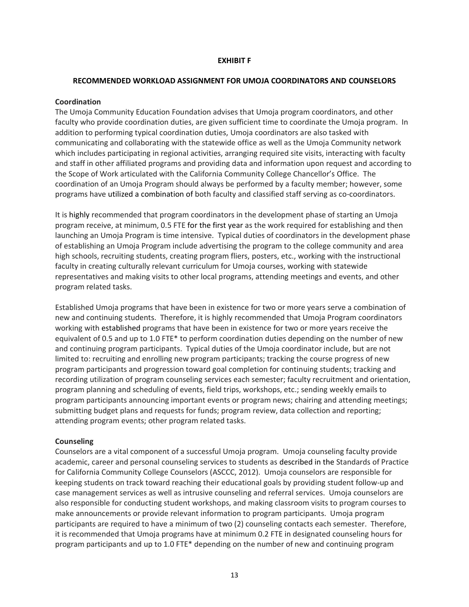#### **EXHIBIT F**

#### **RECOMMENDED WORKLOAD ASSIGNMENT FOR UMOJA COORDINATORS AND COUNSELORS**

#### **Coordination**

The Umoja Community Education Foundation advises that Umoja program coordinators, and other faculty who provide coordination duties, are given sufficient time to coordinate the Umoja program. In addition to performing typical coordination duties, Umoja coordinators are also tasked with communicating and collaborating with the statewide office as well as the Umoja Community network which includes participating in regional activities, arranging required site visits, interacting with faculty and staff in other affiliated programs and providing data and information upon request and according to the Scope of Work articulated with the California Community College Chancellor's Office. The coordination of an Umoja Program should always be performed by a faculty member; however, some programs have utilized a combination of both faculty and classified staff serving as co-coordinators.

It is highly recommended that program coordinators in the development phase of starting an Umoja program receive, at minimum, 0.5 FTE for the first year as the work required for establishing and then launching an Umoja Program is time intensive. Typical duties of coordinators in the development phase of establishing an Umoja Program include advertising the program to the college community and area high schools, recruiting students, creating program fliers, posters, etc., working with the instructional faculty in creating culturally relevant curriculum for Umoja courses, working with statewide representatives and making visits to other local programs, attending meetings and events, and other program related tasks.

Established Umoja programs that have been in existence for two or more years serve a combination of new and continuing students. Therefore, it is highly recommended that Umoja Program coordinators working with established programs that have been in existence for two or more years receive the equivalent of 0.5 and up to 1.0 FTE\* to perform coordination duties depending on the number of new and continuing program participants. Typical duties of the Umoja coordinator include, but are not limited to: recruiting and enrolling new program participants; tracking the course progress of new program participants and progression toward goal completion for continuing students; tracking and recording utilization of program counseling services each semester; faculty recruitment and orientation, program planning and scheduling of events, field trips, workshops, etc.; sending weekly emails to program participants announcing important events or program news; chairing and attending meetings; submitting budget plans and requests for funds; program review, data collection and reporting; attending program events; other program related tasks.

# **Counseling**

Counselors are a vital component of a successful Umoja program. Umoja counseling faculty provide academic, career and personal counseling services to students as described in the Standards of Practice for California Community College Counselors (ASCCC, 2012). Umoja counselors are responsible for keeping students on track toward reaching their educational goals by providing student follow-up and case management services as well as intrusive counseling and referral services. Umoja counselors are also responsible for conducting student workshops, and making classroom visits to program courses to make announcements or provide relevant information to program participants. Umoja program participants are required to have a minimum of two (2) counseling contacts each semester. Therefore, it is recommended that Umoja programs have at minimum 0.2 FTE in designated counseling hours for program participants and up to 1.0 FTE\* depending on the number of new and continuing program